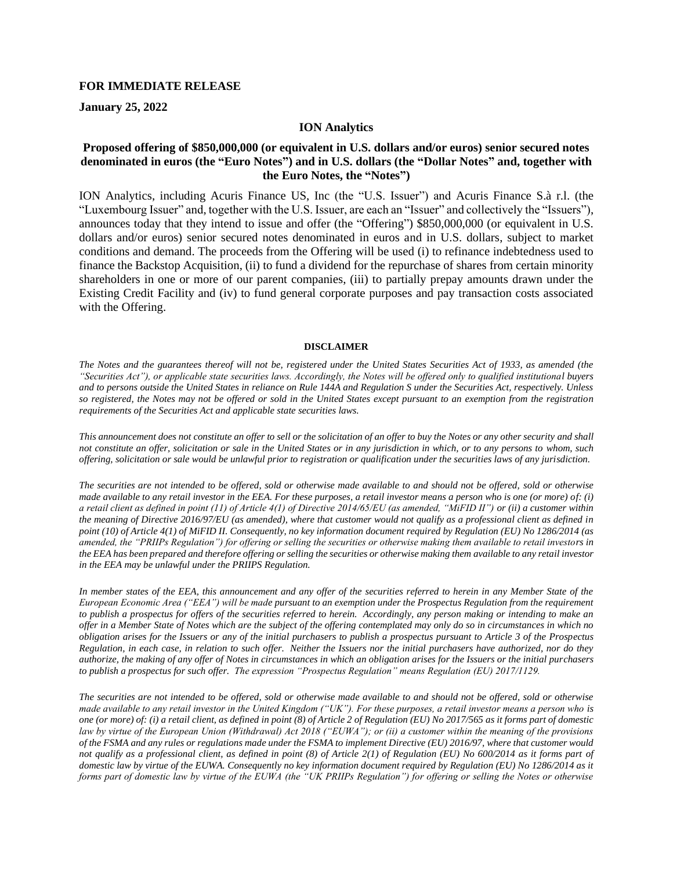## **FOR IMMEDIATE RELEASE**

**January 25, 2022**

## **ION Analytics**

## **Proposed offering of \$850,000,000 (or equivalent in U.S. dollars and/or euros) senior secured notes denominated in euros (the "Euro Notes") and in U.S. dollars (the "Dollar Notes" and, together with the Euro Notes, the "Notes")**

ION Analytics, including Acuris Finance US, Inc (the "U.S. Issuer") and Acuris Finance S.à r.l. (the "Luxembourg Issuer" and, together with the U.S. Issuer, are each an "Issuer" and collectively the "Issuers"), announces today that they intend to issue and offer (the "Offering") \$850,000,000 (or equivalent in U.S. dollars and/or euros) senior secured notes denominated in euros and in U.S. dollars, subject to market conditions and demand. The proceeds from the Offering will be used (i) to refinance indebtedness used to finance the Backstop Acquisition, (ii) to fund a dividend for the repurchase of shares from certain minority shareholders in one or more of our parent companies, (iii) to partially prepay amounts drawn under the Existing Credit Facility and (iv) to fund general corporate purposes and pay transaction costs associated with the Offering.

## **DISCLAIMER**

*The Notes and the guarantees thereof will not be, registered under the United States Securities Act of 1933, as amended (the "Securities Act"), or applicable state securities laws. Accordingly, the Notes will be offered only to qualified institutional buyers and to persons outside the United States in reliance on Rule 144A and Regulation S under the Securities Act, respectively. Unless so registered, the Notes may not be offered or sold in the United States except pursuant to an exemption from the registration requirements of the Securities Act and applicable state securities laws.*

*This announcement does not constitute an offer to sell or the solicitation of an offer to buy the Notes or any other security and shall not constitute an offer, solicitation or sale in the United States or in any jurisdiction in which, or to any persons to whom, such offering, solicitation or sale would be unlawful prior to registration or qualification under the securities laws of any jurisdiction.*

*The securities are not intended to be offered, sold or otherwise made available to and should not be offered, sold or otherwise made available to any retail investor in the EEA. For these purposes, a retail investor means a person who is one (or more) of: (i) a retail client as defined in point (11) of Article 4(1) of Directive 2014/65/EU (as amended, "MiFID II") or (ii) a customer within the meaning of Directive 2016/97/EU (as amended), where that customer would not qualify as a professional client as defined in point (10) of Article 4(1) of MiFID II. Consequently, no key information document required by Regulation (EU) No 1286/2014 (as amended, the "PRIIPs Regulation") for offering or selling the securities or otherwise making them available to retail investors in the EEA has been prepared and therefore offering or selling the securities or otherwise making them available to any retail investor in the EEA may be unlawful under the PRIIPS Regulation.*

*In member states of the EEA, this announcement and any offer of the securities referred to herein in any Member State of the European Economic Area ("EEA") will be made pursuant to an exemption under the Prospectus Regulation from the requirement to publish a prospectus for offers of the securities referred to herein. Accordingly, any person making or intending to make an offer in a Member State of Notes which are the subject of the offering contemplated may only do so in circumstances in which no obligation arises for the Issuers or any of the initial purchasers to publish a prospectus pursuant to Article 3 of the Prospectus Regulation, in each case, in relation to such offer. Neither the Issuers nor the initial purchasers have authorized, nor do they authorize, the making of any offer of Notes in circumstances in which an obligation arises for the Issuers or the initial purchasers to publish a prospectus for such offer. The expression "Prospectus Regulation" means Regulation (EU) 2017/1129.*

*The securities are not intended to be offered, sold or otherwise made available to and should not be offered, sold or otherwise made available to any retail investor in the United Kingdom ("UK"). For these purposes, a retail investor means a person who is one (or more) of: (i) a retail client, as defined in point (8) of Article 2 of Regulation (EU) No 2017/565 as it forms part of domestic law by virtue of the European Union (Withdrawal) Act 2018 ("EUWA"); or (ii) a customer within the meaning of the provisions of the FSMA and any rules or regulations made under the FSMA to implement Directive (EU) 2016/97, where that customer would not qualify as a professional client, as defined in point (8) of Article 2(1) of Regulation (EU) No 600/2014 as it forms part of domestic law by virtue of the EUWA. Consequently no key information document required by Regulation (EU) No 1286/2014 as it forms part of domestic law by virtue of the EUWA (the "UK PRIIPs Regulation") for offering or selling the Notes or otherwise*